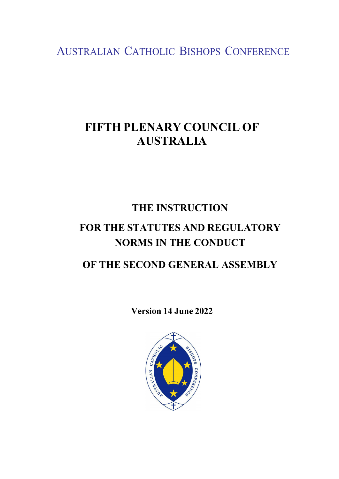AUSTRALIAN CATHOLIC BISHOPS CONFERENCE

## **FIFTH PLENARY COUNCIL OF AUSTRALIA**

# **THE INSTRUCTION FOR THE STATUTES AND REGULATORY NORMS IN THE CONDUCT**

### **OF THE SECOND GENERAL ASSEMBLY**

**Version 14 June 2022**

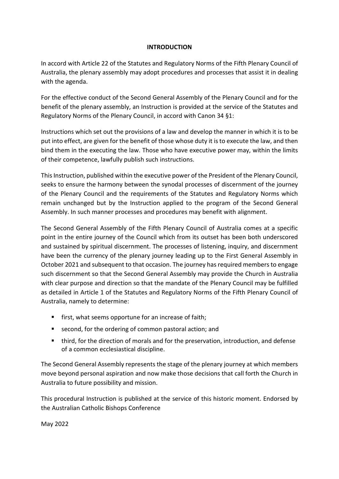#### **INTRODUCTION**

In accord with Article 22 of the Statutes and Regulatory Norms of the Fifth Plenary Council of Australia, the plenary assembly may adopt procedures and processes that assist it in dealing with the agenda.

For the effective conduct of the Second General Assembly of the Plenary Council and for the benefit of the plenary assembly, an Instruction is provided at the service of the Statutes and Regulatory Norms of the Plenary Council, in accord with Canon 34 §1:

Instructions which set out the provisions of a law and develop the manner in which it is to be put into effect, are given for the benefit of those whose duty it is to execute the law, and then bind them in the executing the law. Those who have executive power may, within the limits of their competence, lawfully publish such instructions.

This Instruction, published within the executive power of the President of the Plenary Council, seeks to ensure the harmony between the synodal processes of discernment of the journey of the Plenary Council and the requirements of the Statutes and Regulatory Norms which remain unchanged but by the Instruction applied to the program of the Second General Assembly. In such manner processes and procedures may benefit with alignment.

The Second General Assembly of the Fifth Plenary Council of Australia comes at a specific point in the entire journey of the Council which from its outset has been both underscored and sustained by spiritual discernment. The processes of listening, inquiry, and discernment have been the currency of the plenary journey leading up to the First General Assembly in October 2021 and subsequent to that occasion. The journey has required members to engage such discernment so that the Second General Assembly may provide the Church in Australia with clear purpose and direction so that the mandate of the Plenary Council may be fulfilled as detailed in Article 1 of the Statutes and Regulatory Norms of the Fifth Plenary Council of Australia, namely to determine:

- **first, what seems opportune for an increase of faith;**
- second, for the ordering of common pastoral action; and
- third, for the direction of morals and for the preservation, introduction, and defense of a common ecclesiastical discipline.

The Second General Assembly represents the stage of the plenary journey at which members move beyond personal aspiration and now make those decisions that call forth the Church in Australia to future possibility and mission.

This procedural Instruction is published at the service of this historic moment. Endorsed by the Australian Catholic Bishops Conference

May 2022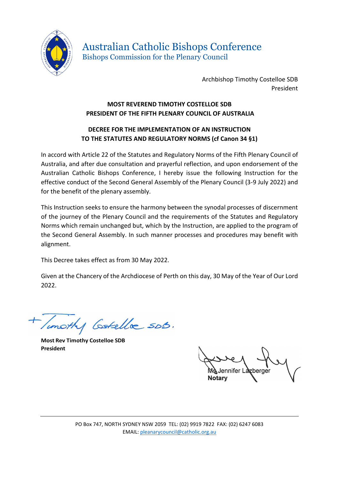

Australian Catholic Bishops Conference Bishops Commission for the Plenary Council

> Archbishop Timothy Costelloe SDB President

#### **MOST REVEREND TIMOTHY COSTELLOE SDB PRESIDENT OF THE FIFTH PLENARY COUNCIL OF AUSTRALIA**

#### **DECREE FOR THE IMPLEMENTATION OF AN INSTRUCTION TO THE STATUTES AND REGULATORY NORMS (cf Canon 34 §1)**

In accord with Article 22 of the Statutes and Regulatory Norms of the Fifth Plenary Council of Australia, and after due consultation and prayerful reflection, and upon endorsement of the Australian Catholic Bishops Conference, I hereby issue the following Instruction for the effective conduct of the Second General Assembly of the Plenary Council (3-9 July 2022) and for the benefit of the plenary assembly.

This Instruction seeks to ensure the harmony between the synodal processes of discernment of the journey of the Plenary Council and the requirements of the Statutes and Regulatory Norms which remain unchanged but, which by the Instruction, are applied to the program of the Second General Assembly. In such manner processes and procedures may benefit with alignment.

This Decree takes effect as from 30 May 2022.

Given at the Chancery of the Archdiocese of Perth on this day, 30 May of the Year of Our Lord 2022.

Timothy Gotella sob.

**Most Rev Timothy Costelloe SDB President**

Jennifer Lazberger **Notary**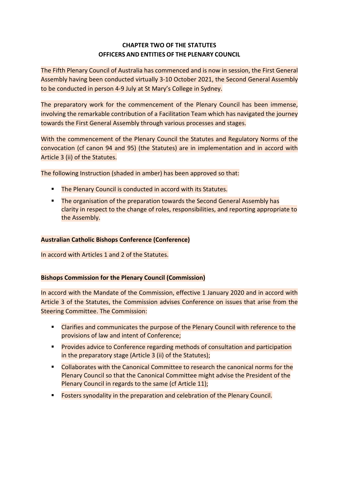#### **CHAPTER TWO OF THE STATUTES OFFICERS AND ENTITIESOF THE PLENARY COUNCIL**

The Fifth Plenary Council of Australia has commenced and is now in session, the First General Assembly having been conducted virtually 3-10 October 2021, the Second General Assembly to be conducted in person 4-9 July at St Mary's College in Sydney.

The preparatory work for the commencement of the Plenary Council has been immense, involving the remarkable contribution of a Facilitation Team which has navigated the journey towards the First General Assembly through various processes and stages.

With the commencement of the Plenary Council the Statutes and Regulatory Norms of the convocation (cf canon 94 and 95) (the Statutes) are in implementation and in accord with Article 3 (ii) of the Statutes.

The following Instruction (shaded in amber) has been approved so that:

- The Plenary Council is conducted in accord with its Statutes.
- **The organisation of the preparation towards the Second General Assembly has** clarity in respect to the change of roles, responsibilities, and reporting appropriate to the Assembly.

#### **Australian Catholic Bishops Conference (Conference)**

In accord with Articles 1 and 2 of the Statutes.

#### **Bishops Commission for the Plenary Council (Commission)**

In accord with the Mandate of the Commission, effective 1 January 2020 and in accord with Article 3 of the Statutes, the Commission advises Conference on issues that arise from the Steering Committee. The Commission:

- **EXTER** Clarifies and communicates the purpose of the Plenary Council with reference to the provisions of law and intent of Conference;
- **Provides advice to Conference regarding methods of consultation and participation** in the preparatory stage (Article 3 (ii) of the Statutes);
- Collaborates with the Canonical Committee to research the canonical norms for the Plenary Council so that the Canonical Committee might advise the President of the Plenary Council in regards to the same (cf Article 11);
- Fosters synodality in the preparation and celebration of the Plenary Council.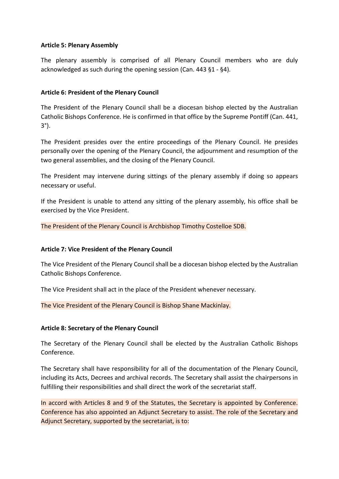#### **Article 5: Plenary Assembly**

The plenary assembly is comprised of all Plenary Council members who are duly acknowledged as such during the opening session (Can. 443 §1 - §4).

#### **Article 6: President of the Plenary Council**

The President of the Plenary Council shall be a diocesan bishop elected by the Australian Catholic Bishops Conference. He is confirmed in that office by the Supreme Pontiff (Can. 441, 3°).

The President presides over the entire proceedings of the Plenary Council. He presides personally over the opening of the Plenary Council, the adjournment and resumption of the two general assemblies, and the closing of the Plenary Council.

The President may intervene during sittings of the plenary assembly if doing so appears necessary or useful.

If the President is unable to attend any sitting of the plenary assembly, his office shall be exercised by the Vice President.

The President of the Plenary Council is Archbishop Timothy Costelloe SDB.

#### **Article 7: Vice President of the Plenary Council**

The Vice President of the Plenary Council shall be a diocesan bishop elected by the Australian Catholic Bishops Conference.

The Vice President shall act in the place of the President whenever necessary.

The Vice President of the Plenary Council is Bishop Shane Mackinlay.

#### **Article 8: Secretary of the Plenary Council**

The Secretary of the Plenary Council shall be elected by the Australian Catholic Bishops Conference.

The Secretary shall have responsibility for all of the documentation of the Plenary Council, including its Acts, Decrees and archival records. The Secretary shall assist the chairpersons in fulfilling their responsibilities and shall direct the work of the secretariat staff.

In accord with Articles 8 and 9 of the Statutes, the Secretary is appointed by Conference. Conference has also appointed an Adjunct Secretary to assist. The role of the Secretary and Adjunct Secretary, supported by the secretariat, is to: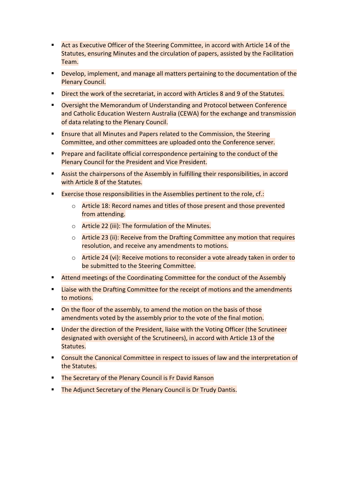- **Act as Executive Officer of the Steering Committee, in accord with Article 14 of the** Statutes, ensuring Minutes and the circulation of papers, assisted by the Facilitation Team.
- Develop, implement, and manage all matters pertaining to the documentation of the Plenary Council.
- **Direct the work of the secretariat, in accord with Articles 8 and 9 of the Statutes.**
- Oversight the Memorandum of Understanding and Protocol between Conference and Catholic Education Western Australia (CEWA) for the exchange and transmission of data relating to the Plenary Council.
- **Ensure that all Minutes and Papers related to the Commission, the Steering** Committee, and other committees are uploaded onto the Conference server.
- **Prepare and facilitate official correspondence pertaining to the conduct of the** Plenary Council for the President and Vice President.
- Assist the chairpersons of the Assembly in fulfilling their responsibilities, in accord with Article 8 of the Statutes.
- **Exercise those responsibilities in the Assemblies pertinent to the role, cf.:** 
	- o Article 18: Record names and titles of those present and those prevented from attending.
	- o Article 22 (iii): The formulation of the Minutes.
	- o Article 23 (ii): Receive from the Drafting Committee any motion that requires resolution, and receive any amendments to motions.
	- o Article 24 (vi): Receive motions to reconsider a vote already taken in order to be submitted to the Steering Committee.
- **EXTEM** Meetings of the Coordinating Committee for the conduct of the Assembly
- Liaise with the Drafting Committee for the receipt of motions and the amendments to motions.
- $\blacksquare$  On the floor of the assembly, to amend the motion on the basis of those amendments voted by the assembly prior to the vote of the final motion.
- **Under the direction of the President, liaise with the Voting Officer (the Scrutineer** designated with oversight of the Scrutineers), in accord with Article 13 of the Statutes.
- Consult the Canonical Committee in respect to issues of law and the interpretation of the Statutes.
- **The Secretary of the Plenary Council is Fr David Ranson**
- **The Adjunct Secretary of the Plenary Council is Dr Trudy Dantis.**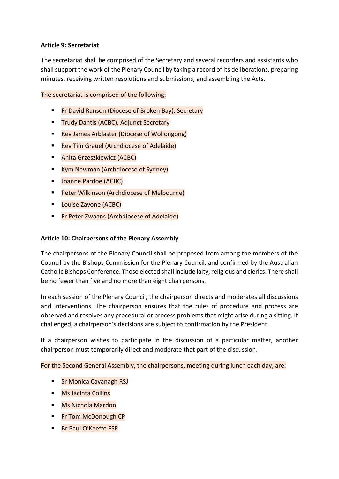#### **Article 9: Secretariat**

The secretariat shall be comprised of the Secretary and several recorders and assistants who shall support the work of the Plenary Council by taking a record of its deliberations, preparing minutes, receiving written resolutions and submissions, and assembling the Acts.

The secretariat is comprised of the following:

- **Fr David Ranson (Diocese of Broken Bay), Secretary**
- **Trudy Dantis (ACBC), Adjunct Secretary**
- **Rev James Arblaster (Diocese of Wollongong)**
- **Rev Tim Grauel (Archdiocese of Adelaide)**
- Anita Grzeszkiewicz (ACBC)
- **E** Kym Newman (Archdiocese of Sydney)
- **Joanne Pardoe (ACBC)**
- **Peter Wilkinson (Archdiocese of Melbourne)**
- **Louise Zavone (ACBC)**
- **Fr Peter Zwaans (Archdiocese of Adelaide)**

#### **Article 10: Chairpersons of the Plenary Assembly**

The chairpersons of the Plenary Council shall be proposed from among the members of the Council by the Bishops Commission for the Plenary Council, and confirmed by the Australian Catholic Bishops Conference. Those elected shall include laity, religious and clerics. There shall be no fewer than five and no more than eight chairpersons.

In each session of the Plenary Council, the chairperson directs and moderates all discussions and interventions. The chairperson ensures that the rules of procedure and process are observed and resolves any procedural or process problems that might arise during a sitting. If challenged, a chairperson's decisions are subject to confirmation by the President.

If a chairperson wishes to participate in the discussion of a particular matter, another chairperson must temporarily direct and moderate that part of the discussion.

For the Second General Assembly, the chairpersons, meeting during lunch each day, are:

- **Sr Monica Cavanagh RSJ**
- Ms Jacinta Collins
- Ms Nichola Mardon
- **Fr Tom McDonough CP**
- **Br Paul O'Keeffe FSP**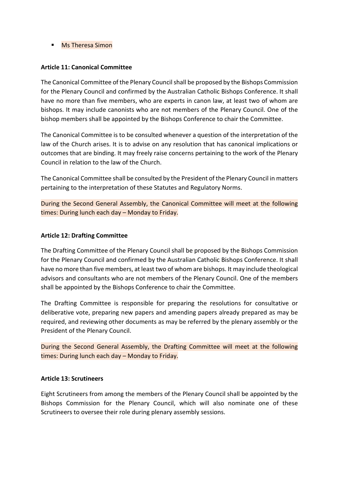**Ms Theresa Simon** 

#### **Article 11: Canonical Committee**

The Canonical Committee of the Plenary Council shall be proposed by the Bishops Commission for the Plenary Council and confirmed by the Australian Catholic Bishops Conference. It shall have no more than five members, who are experts in canon law, at least two of whom are bishops. It may include canonists who are not members of the Plenary Council. One of the bishop members shall be appointed by the Bishops Conference to chair the Committee.

The Canonical Committee is to be consulted whenever a question of the interpretation of the law of the Church arises. It is to advise on any resolution that has canonical implications or outcomes that are binding. It may freely raise concerns pertaining to the work of the Plenary Council in relation to the law of the Church.

The Canonical Committee shall be consulted by the President of the Plenary Council in matters pertaining to the interpretation of these Statutes and Regulatory Norms.

During the Second General Assembly, the Canonical Committee will meet at the following times: During lunch each day – Monday to Friday.

#### **Article 12: Drafting Committee**

The Drafting Committee of the Plenary Council shall be proposed by the Bishops Commission for the Plenary Council and confirmed by the Australian Catholic Bishops Conference. It shall have no more than five members, at least two of whom are bishops. It may include theological advisors and consultants who are not members of the Plenary Council. One of the members shall be appointed by the Bishops Conference to chair the Committee.

The Drafting Committee is responsible for preparing the resolutions for consultative or deliberative vote, preparing new papers and amending papers already prepared as may be required, and reviewing other documents as may be referred by the plenary assembly or the President of the Plenary Council.

During the Second General Assembly, the Drafting Committee will meet at the following times: During lunch each day – Monday to Friday.

#### **Article 13: Scrutineers**

Eight Scrutineers from among the members of the Plenary Council shall be appointed by the Bishops Commission for the Plenary Council, which will also nominate one of these Scrutineers to oversee their role during plenary assembly sessions.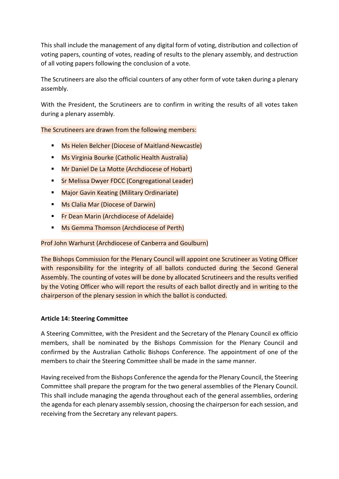This shall include the management of any digital form of voting, distribution and collection of voting papers, counting of votes, reading of results to the plenary assembly, and destruction of all voting papers following the conclusion of a vote.

The Scrutineers are also the official counters of any other form of vote taken during a plenary assembly.

With the President, the Scrutineers are to confirm in writing the results of all votes taken during a plenary assembly.

The Scrutineers are drawn from the following members:

- **Ms Helen Belcher (Diocese of Maitland-Newcastle)**
- **Ms Virginia Bourke (Catholic Health Australia)**
- **Mr Daniel De La Motte (Archdiocese of Hobart)**
- **Sr Melissa Dwyer FDCC (Congregational Leader)**
- **E** Major Gavin Keating (Military Ordinariate)
- **Ms Clalia Mar (Diocese of Darwin)**
- **Fr Dean Marin (Archdiocese of Adelaide)**
- **Ms Gemma Thomson (Archdiocese of Perth)**

Prof John Warhurst (Archdiocese of Canberra and Goulburn)

The Bishops Commission for the Plenary Council will appoint one Scrutineer as Voting Officer with responsibility for the integrity of all ballots conducted during the Second General Assembly. The counting of votes will be done by allocated Scrutineers and the results verified by the Voting Officer who will report the results of each ballot directly and in writing to the chairperson of the plenary session in which the ballot is conducted.

#### **Article 14: Steering Committee**

A Steering Committee, with the President and the Secretary of the Plenary Council ex officio members, shall be nominated by the Bishops Commission for the Plenary Council and confirmed by the Australian Catholic Bishops Conference. The appointment of one of the members to chair the Steering Committee shall be made in the same manner.

Having received from the Bishops Conference the agenda for the Plenary Council, the Steering Committee shall prepare the program for the two general assemblies of the Plenary Council. This shall include managing the agenda throughout each of the general assemblies, ordering the agenda for each plenary assembly session, choosing the chairperson for each session, and receiving from the Secretary any relevant papers.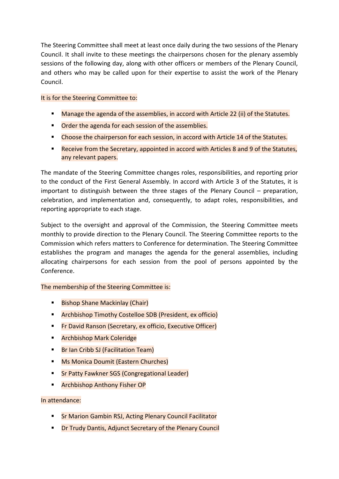The Steering Committee shall meet at least once daily during the two sessions of the Plenary Council. It shall invite to these meetings the chairpersons chosen for the plenary assembly sessions of the following day, along with other officers or members of the Plenary Council, and others who may be called upon for their expertise to assist the work of the Plenary Council.

#### It is for the Steering Committee to:

- Manage the agenda of the assemblies, in accord with Article 22 (ii) of the Statutes.
- **Order the agenda for each session of the assemblies.**
- Choose the chairperson for each session, in accord with Article 14 of the Statutes.
- Receive from the Secretary, appointed in accord with Articles 8 and 9 of the Statutes, any relevant papers.

The mandate of the Steering Committee changes roles, responsibilities, and reporting prior to the conduct of the First General Assembly. In accord with Article 3 of the Statutes, it is important to distinguish between the three stages of the Plenary Council – preparation, celebration, and implementation and, consequently, to adapt roles, responsibilities, and reporting appropriate to each stage.

Subject to the oversight and approval of the Commission, the Steering Committee meets monthly to provide direction to the Plenary Council. The Steering Committee reports to the Commission which refers matters to Conference for determination. The Steering Committee establishes the program and manages the agenda for the general assemblies, including allocating chairpersons for each session from the pool of persons appointed by the Conference.

#### The membership of the Steering Committee is:

- Bishop Shane Mackinlay (Chair)
- Archbishop Timothy Costelloe SDB (President, ex officio)
- **Fr David Ranson (Secretary, ex officio, Executive Officer)**
- **E** Archbishop Mark Coleridge
- **Br Ian Cribb SJ (Facilitation Team)**
- **Ms Monica Doumit (Eastern Churches)**
- **Sr Patty Fawkner SGS (Congregational Leader)**
- **F** Archbishop Anthony Fisher OP

#### In attendance:

- **F** Sr Marion Gambin RSJ, Acting Plenary Council Facilitator
- **P** Dr Trudy Dantis, Adjunct Secretary of the Plenary Council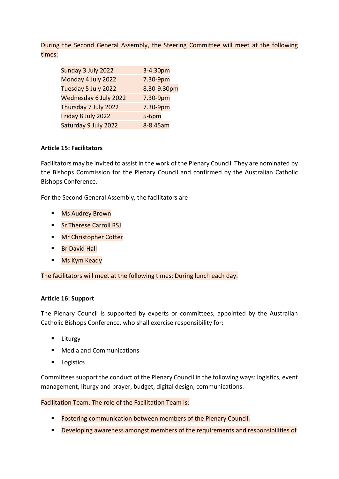During the Second General Assembly, the Steering Committee will meet at the following times:

| Sunday 3 July 2022    | 3-4.30pm    |
|-----------------------|-------------|
| Monday 4 July 2022    | 7.30-9pm    |
| Tuesday 5 July 2022   | 8.30-9.30pm |
| Wednesday 6 July 2022 | 7.30-9pm    |
| Thursday 7 July 2022  | 7.30-9pm    |
| Friday 8 July 2022    | $5-6$ pm    |
| Saturday 9 July 2022  | 8-8.45am    |

#### **Article 15: Facilitators**

Facilitators may be invited to assist in the work of the Plenary Council. They are nominated by the Bishops Commission for the Plenary Council and confirmed by the Australian Catholic Bishops Conference.

For the Second General Assembly, the facilitators are

- **Ms Audrey Brown**
- Sr Therese Carroll RSJ
- **Mr Christopher Cotter**
- **Br David Hall**
- **Ms Kym Keady**

The facilitators will meet at the following times: During lunch each day.

#### **Article 16: Support**

The Plenary Council is supported by experts or committees, appointed by the Australian Catholic Bishops Conference, who shall exercise responsibility for:

- **Liturgy**
- Media and Communications
- **Logistics**

Committees support the conduct of the Plenary Council in the following ways: logistics, event management, liturgy and prayer, budget, digital design, communications.

Facilitation Team. The role of the Facilitation Team is:

- **Fostering communication between members of the Plenary Council.**
- **Peveloping awareness amongst members of the requirements and responsibilities of**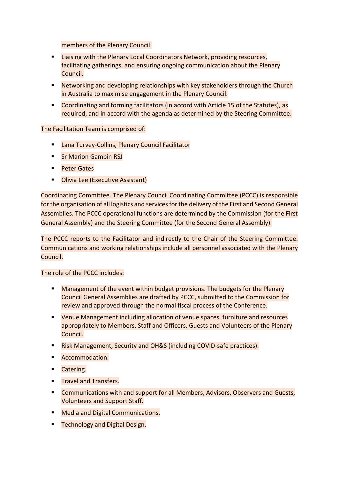members of the Plenary Council.

- **Example 2** Liaising with the Plenary Local Coordinators Network, providing resources, facilitating gatherings, and ensuring ongoing communication about the Plenary Council.
- **Networking and developing relationships with key stakeholders through the Church** in Australia to maximise engagement in the Plenary Council.
- Coordinating and forming facilitators (in accord with Article 15 of the Statutes), as required, and in accord with the agenda as determined by the Steering Committee.

The Facilitation Team is comprised of:

- **E** Lana Turvey-Collins, Plenary Council Facilitator
- **Sr Marion Gambin RSJ**
- **Peter Gates**
- **Dlivia Lee (Executive Assistant)**

Coordinating Committee. The Plenary Council Coordinating Committee (PCCC) is responsible for the organisation of all logistics and services for the delivery of the First and Second General Assemblies. The PCCC operational functions are determined by the Commission (for the First General Assembly) and the Steering Committee (for the Second General Assembly).

The PCCC reports to the Facilitator and indirectly to the Chair of the Steering Committee. Communications and working relationships include all personnel associated with the Plenary Council.

The role of the PCCC includes:

- **Management of the event within budget provisions. The budgets for the Plenary** Council General Assemblies are drafted by PCCC, submitted to the Commission for review and approved through the normal fiscal process of the Conference.
- **EXTER 12 Venue Management including allocation of venue spaces, furniture and resources** appropriately to Members, Staff and Officers, Guests and Volunteers of the Plenary Council.
- **E.** Risk Management, Security and OH&S (including COVID-safe practices).
- **Accommodation.**
- **Catering.**
- **Travel and Transfers.**
- **Communications with and support for all Members, Advisors, Observers and Guests,** Volunteers and Support Staff.
- **Media and Digital Communications.**
- **Technology and Digital Design.**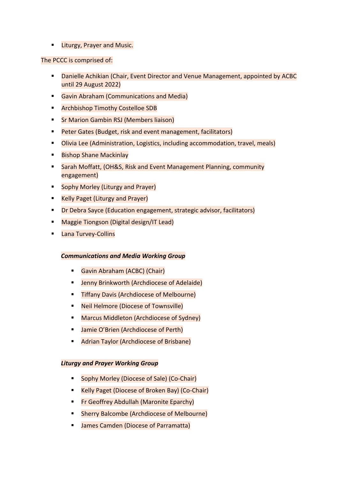**Liturgy, Prayer and Music.** 

#### The PCCC is comprised of:

- **Danielle Achikian (Chair, Event Director and Venue Management, appointed by ACBC** until 29 August 2022)
- **Gavin Abraham (Communications and Media)**
- **E** Archbishop Timothy Costelloe SDB
- **F** Sr Marion Gambin RSJ (Members liaison)
- **Peter Gates (Budget, risk and event management, facilitators)**
- Olivia Lee (Administration, Logistics, including accommodation, travel, meals)
- **Bishop Shane Mackinlay**
- Sarah Moffatt, (OH&S, Risk and Event Management Planning, community engagement)
- **Sophy Morley (Liturgy and Prayer)**
- **E** Kelly Paget (Liturgy and Prayer)
- **Dr Debra Sayce (Education engagement, strategic advisor, facilitators)**
- **Maggie Tiongson (Digital design/IT Lead)**
- **Lana Turvey-Collins**

#### *Communications and Media Working Group*

- Gavin Abraham (ACBC) (Chair)
- Jenny Brinkworth (Archdiocese of Adelaide)
- **Tiffany Davis (Archdiocese of Melbourne)**
- Neil Helmore (Diocese of Townsville)
- **Marcus Middleton (Archdiocese of Sydney)**
- **Jamie O'Brien (Archdiocese of Perth)**
- **Adrian Taylor (Archdiocese of Brisbane)**

#### *Liturgy and Prayer Working Group*

- **Sophy Morley (Diocese of Sale) (Co-Chair)**
- **Kelly Paget (Diocese of Broken Bay) (Co-Chair)**
- **Fr Geoffrey Abdullah (Maronite Eparchy)**
- Sherry Balcombe (Archdiocese of Melbourne)
- **James Camden (Diocese of Parramatta)**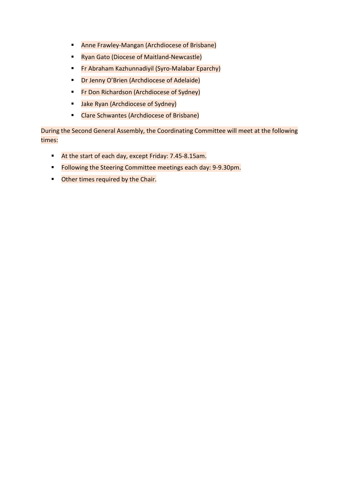- **Anne Frawley-Mangan (Archdiocese of Brisbane)**
- **Ryan Gato (Diocese of Maitland-Newcastle)**
- **Fr Abraham Kazhunnadiyil (Syro-Malabar Eparchy)**
- **Dr Jenny O'Brien (Archdiocese of Adelaide)**
- **Fr Don Richardson (Archdiocese of Sydney)**
- **Jake Ryan (Archdiocese of Sydney)**
- Clare Schwantes (Archdiocese of Brisbane)

During the Second General Assembly, the Coordinating Committee will meet at the following times:

- At the start of each day, except Friday: 7.45-8.15am.
- Following the Steering Committee meetings each day: 9-9.30pm.
- **•** Other times required by the Chair.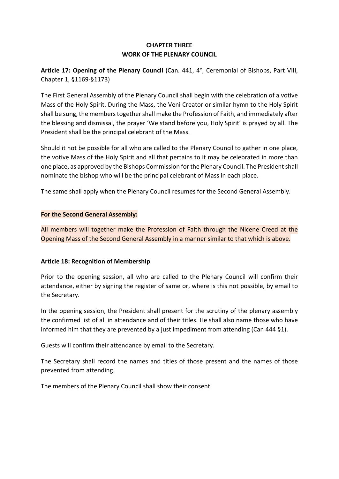#### **CHAPTER THREE WORK OF THE PLENARY COUNCIL**

**Article 17: Opening of the Plenary Council** (Can. 441, 4°; Ceremonial of Bishops, Part VIII, Chapter 1, §1169-§1173)

The First General Assembly of the Plenary Council shall begin with the celebration of a votive Mass of the Holy Spirit. During the Mass, the Veni Creator or similar hymn to the Holy Spirit shall be sung, the members together shall make the Profession of Faith, and immediately after the blessing and dismissal, the prayer 'We stand before you, Holy Spirit' is prayed by all. The President shall be the principal celebrant of the Mass.

Should it not be possible for all who are called to the Plenary Council to gather in one place, the votive Mass of the Holy Spirit and all that pertains to it may be celebrated in more than one place, as approved by the Bishops Commission for the Plenary Council. The President shall nominate the bishop who will be the principal celebrant of Mass in each place.

The same shall apply when the Plenary Council resumes for the Second General Assembly.

#### **For the Second General Assembly:**

All members will together make the Profession of Faith through the Nicene Creed at the Opening Mass of the Second General Assembly in a manner similar to that which is above.

#### **Article 18: Recognition of Membership**

Prior to the opening session, all who are called to the Plenary Council will confirm their attendance, either by signing the register of same or, where is this not possible, by email to the Secretary.

In the opening session, the President shall present for the scrutiny of the plenary assembly the confirmed list of all in attendance and of their titles. He shall also name those who have informed him that they are prevented by a just impediment from attending (Can 444 §1).

Guests will confirm their attendance by email to the Secretary.

The Secretary shall record the names and titles of those present and the names of those prevented from attending.

The members of the Plenary Council shall show their consent.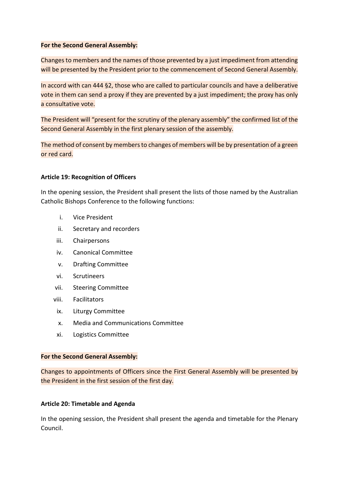#### **For the Second General Assembly:**

Changes to members and the names of those prevented by a just impediment from attending will be presented by the President prior to the commencement of Second General Assembly.

In accord with can 444 §2, those who are called to particular councils and have a deliberative vote in them can send a proxy if they are prevented by a just impediment; the proxy has only a consultative vote.

The President will "present for the scrutiny of the plenary assembly" the confirmed list of the Second General Assembly in the first plenary session of the assembly.

The method of consent by members to changes of members will be by presentation of a green or red card.

#### **Article 19: Recognition of Officers**

In the opening session, the President shall present the lists of those named by the Australian Catholic Bishops Conference to the following functions:

- i. Vice President
- ii. Secretary and recorders
- iii. Chairpersons
- iv. Canonical Committee
- v. Drafting Committee
- vi. Scrutineers
- vii. Steering Committee
- viii. Facilitators
- ix. Liturgy Committee
- x. Media and Communications Committee
- xi. Logistics Committee

#### **For the Second General Assembly:**

Changes to appointments of Officers since the First General Assembly will be presented by the President in the first session of the first day.

#### **Article 20: Timetable and Agenda**

In the opening session, the President shall present the agenda and timetable for the Plenary Council.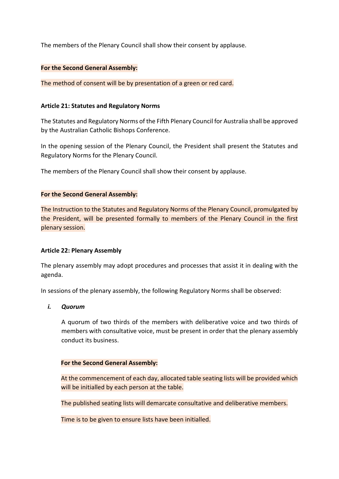The members of the Plenary Council shall show their consent by applause.

#### **For the Second General Assembly:**

The method of consent will be by presentation of a green or red card.

#### **Article 21: Statutes and Regulatory Norms**

The Statutes and Regulatory Norms of the Fifth Plenary Council for Australia shall be approved by the Australian Catholic Bishops Conference.

In the opening session of the Plenary Council, the President shall present the Statutes and Regulatory Norms for the Plenary Council.

The members of the Plenary Council shall show their consent by applause.

#### **For the Second General Assembly:**

The Instruction to the Statutes and Regulatory Norms of the Plenary Council, promulgated by the President, will be presented formally to members of the Plenary Council in the first plenary session.

#### **Article 22: Plenary Assembly**

The plenary assembly may adopt procedures and processes that assist it in dealing with the agenda.

In sessions of the plenary assembly, the following Regulatory Norms shall be observed:

#### *i. Quorum*

A quorum of two thirds of the members with deliberative voice and two thirds of members with consultative voice, must be present in order that the plenary assembly conduct its business.

#### **For the Second General Assembly:**

At the commencement of each day, allocated table seating lists will be provided which will be initialled by each person at the table.

The published seating lists will demarcate consultative and deliberative members.

Time is to be given to ensure lists have been initialled.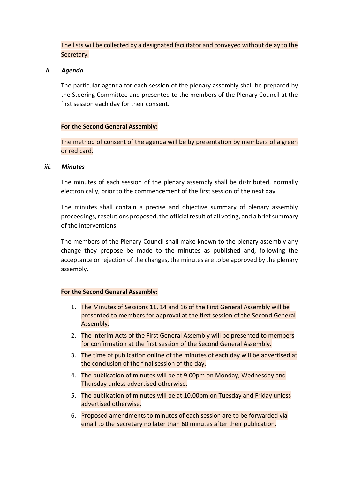The lists will be collected by a designated facilitator and conveyed without delay to the Secretary.

#### *ii. Agenda*

The particular agenda for each session of the plenary assembly shall be prepared by the Steering Committee and presented to the members of the Plenary Council at the first session each day for their consent.

#### **For the Second General Assembly:**

The method of consent of the agenda will be by presentation by members of a green or red card.

#### *iii. Minutes*

The minutes of each session of the plenary assembly shall be distributed, normally electronically, prior to the commencement of the first session of the next day.

The minutes shall contain a precise and objective summary of plenary assembly proceedings, resolutions proposed, the official result of all voting, and a brief summary of the interventions.

The members of the Plenary Council shall make known to the plenary assembly any change they propose be made to the minutes as published and, following the acceptance or rejection of the changes, the minutes are to be approved by the plenary assembly.

- 1. The Minutes of Sessions 11, 14 and 16 of the First General Assembly will be presented to members for approval at the first session of the Second General Assembly.
- 2. The Interim Acts of the First General Assembly will be presented to members for confirmation at the first session of the Second General Assembly.
- 3. The time of publication online of the minutes of each day will be advertised at the conclusion of the final session of the day.
- 4. The publication of minutes will be at 9.00pm on Monday, Wednesday and Thursday unless advertised otherwise.
- 5. The publication of minutes will be at 10.00pm on Tuesday and Friday unless advertised otherwise.
- 6. Proposed amendments to minutes of each session are to be forwarded via email to the Secretary no later than 60 minutes after their publication.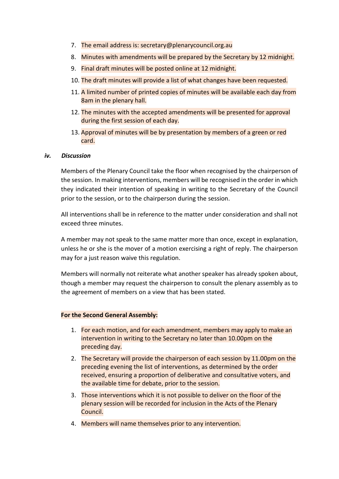- 7. The email address is: secretary@plenarycouncil.org.au
- 8. Minutes with amendments will be prepared by the Secretary by 12 midnight.
- 9. Final draft minutes will be posted online at 12 midnight.
- 10. The draft minutes will provide a list of what changes have been requested.
- 11. A limited number of printed copies of minutes will be available each day from 8am in the plenary hall.
- 12. The minutes with the accepted amendments will be presented for approval during the first session of each day.
- 13. Approval of minutes will be by presentation by members of a green or red card.

#### *iv. Discussion*

Members of the Plenary Council take the floor when recognised by the chairperson of the session. In making interventions, members will be recognised in the order in which they indicated their intention of speaking in writing to the Secretary of the Council prior to the session, or to the chairperson during the session.

All interventions shall be in reference to the matter under consideration and shall not exceed three minutes.

A member may not speak to the same matter more than once, except in explanation, unless he or she is the mover of a motion exercising a right of reply. The chairperson may for a just reason waive this regulation.

Members will normally not reiterate what another speaker has already spoken about, though a member may request the chairperson to consult the plenary assembly as to the agreement of members on a view that has been stated.

- 1. For each motion, and for each amendment, members may apply to make an intervention in writing to the Secretary no later than 10.00pm on the preceding day.
- 2. The Secretary will provide the chairperson of each session by 11.00pm on the preceding evening the list of interventions, as determined by the order received, ensuring a proportion of deliberative and consultative voters, and the available time for debate, prior to the session.
- 3. Those interventions which it is not possible to deliver on the floor of the plenary session will be recorded for inclusion in the Acts of the Plenary Council.
- 4. Members will name themselves prior to any intervention.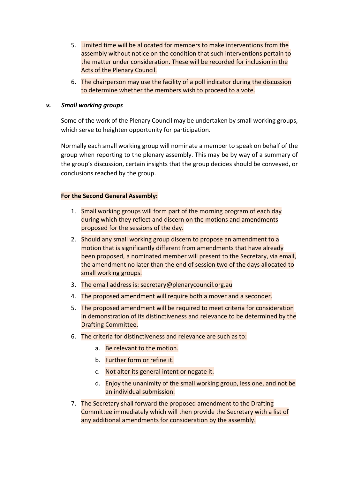- 5. Limited time will be allocated for members to make interventions from the assembly without notice on the condition that such interventions pertain to the matter under consideration. These will be recorded for inclusion in the Acts of the Plenary Council.
- 6. The chairperson may use the facility of a poll indicator during the discussion to determine whether the members wish to proceed to a vote.

#### *v. Small working groups*

Some of the work of the Plenary Council may be undertaken by small working groups, which serve to heighten opportunity for participation.

Normally each small working group will nominate a member to speak on behalf of the group when reporting to the plenary assembly. This may be by way of a summary of the group's discussion, certain insights that the group decides should be conveyed, or conclusions reached by the group.

- 1. Small working groups will form part of the morning program of each day during which they reflect and discern on the motions and amendments proposed for the sessions of the day.
- 2. Should any small working group discern to propose an amendment to a motion that is significantly different from amendments that have already been proposed, a nominated member will present to the Secretary, via email, the amendment no later than the end of session two of the days allocated to small working groups.
- 3. The email address is: secretary@plenarycouncil.org.au
- 4. The proposed amendment will require both a mover and a seconder.
- 5. The proposed amendment will be required to meet criteria for consideration in demonstration of its distinctiveness and relevance to be determined by the Drafting Committee.
- 6. The criteria for distinctiveness and relevance are such as to:
	- a. Be relevant to the motion.
	- b. Further form or refine it.
	- c. Not alter its general intent or negate it.
	- d. Enjoy the unanimity of the small working group, less one, and not be an individual submission.
- 7. The Secretary shall forward the proposed amendment to the Drafting Committee immediately which will then provide the Secretary with a list of any additional amendments for consideration by the assembly.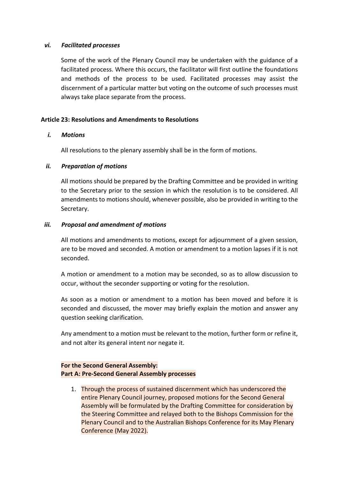#### *vi. Facilitated processes*

Some of the work of the Plenary Council may be undertaken with the guidance of a facilitated process. Where this occurs, the facilitator will first outline the foundations and methods of the process to be used. Facilitated processes may assist the discernment of a particular matter but voting on the outcome of such processes must always take place separate from the process.

#### **Article 23: Resolutions and Amendments to Resolutions**

#### *i. Motions*

All resolutions to the plenary assembly shall be in the form of motions.

#### *ii. Preparation of motions*

All motions should be prepared by the Drafting Committee and be provided in writing to the Secretary prior to the session in which the resolution is to be considered. All amendments to motions should, whenever possible, also be provided in writing to the Secretary.

#### *iii. Proposal and amendment of motions*

All motions and amendments to motions, except for adjournment of a given session, are to be moved and seconded. A motion or amendment to a motion lapses if it is not seconded.

A motion or amendment to a motion may be seconded, so as to allow discussion to occur, without the seconder supporting or voting for the resolution.

As soon as a motion or amendment to a motion has been moved and before it is seconded and discussed, the mover may briefly explain the motion and answer any question seeking clarification.

Any amendment to a motion must be relevant to the motion, further form or refine it, and not alter its general intent nor negate it.

#### **For the Second General Assembly: Part A: Pre-Second General Assembly processes**

1. Through the process of sustained discernment which has underscored the entire Plenary Council journey, proposed motions for the Second General Assembly will be formulated by the Drafting Committee for consideration by the Steering Committee and relayed both to the Bishops Commission for the Plenary Council and to the Australian Bishops Conference for its May Plenary Conference (May 2022).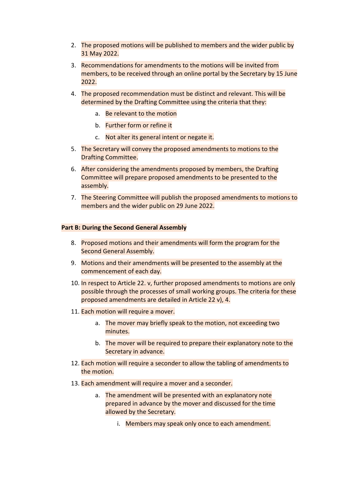- 2. The proposed motions will be published to members and the wider public by 31 May 2022.
- 3. Recommendations for amendments to the motions will be invited from members, to be received through an online portal by the Secretary by 15 June 2022.
- 4. The proposed recommendation must be distinct and relevant. This will be determined by the Drafting Committee using the criteria that they:
	- a. Be relevant to the motion
	- b. Further form or refine it
	- c. Not alter its general intent or negate it.
- 5. The Secretary will convey the proposed amendments to motions to the Drafting Committee.
- 6. After considering the amendments proposed by members, the Drafting Committee will prepare proposed amendments to be presented to the assembly.
- 7. The Steering Committee will publish the proposed amendments to motions to members and the wider public on 29 June 2022.

#### **Part B: During the Second General Assembly**

- 8. Proposed motions and their amendments will form the program for the Second General Assembly.
- 9. Motions and their amendments will be presented to the assembly at the commencement of each day.
- 10. In respect to Article 22. v, further proposed amendments to motions are only possible through the processes of small working groups. The criteria for these proposed amendments are detailed in Article 22 v), 4.
- 11. Each motion will require a mover.
	- a. The mover may briefly speak to the motion, not exceeding two minutes.
	- b. The mover will be required to prepare their explanatory note to the Secretary in advance.
- 12. Each motion will require a seconder to allow the tabling of amendments to the motion.
- 13. Each amendment will require a mover and a seconder.
	- a. The amendment will be presented with an explanatory note prepared in advance by the mover and discussed for the time allowed by the Secretary.
		- i. Members may speak only once to each amendment.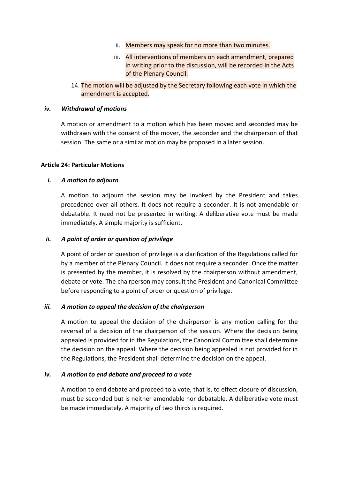- ii. Members may speak for no more than two minutes.
- iii. All interventions of members on each amendment, prepared in writing prior to the discussion, will be recorded in the Acts of the Plenary Council.
- 14. The motion will be adjusted by the Secretary following each vote in which the amendment is accepted.

#### *iv. Withdrawal of motions*

A motion or amendment to a motion which has been moved and seconded may be withdrawn with the consent of the mover, the seconder and the chairperson of that session. The same or a similar motion may be proposed in a later session.

#### **Article 24: Particular Motions**

#### *i. A motion to adjourn*

A motion to adjourn the session may be invoked by the President and takes precedence over all others. It does not require a seconder. It is not amendable or debatable. It need not be presented in writing. A deliberative vote must be made immediately. A simple majority is sufficient.

#### *ii. A point of order or question of privilege*

A point of order or question of privilege is a clarification of the Regulations called for by a member of the Plenary Council. It does not require a seconder. Once the matter is presented by the member, it is resolved by the chairperson without amendment, debate or vote. The chairperson may consult the President and Canonical Committee before responding to a point of order or question of privilege.

#### *iii. A motion to appeal the decision of the chairperson*

A motion to appeal the decision of the chairperson is any motion calling for the reversal of a decision of the chairperson of the session. Where the decision being appealed is provided for in the Regulations, the Canonical Committee shall determine the decision on the appeal. Where the decision being appealed is not provided for in the Regulations, the President shall determine the decision on the appeal.

#### *iv. A motion to end debate and proceed to a vote*

A motion to end debate and proceed to a vote, that is, to effect closure of discussion, must be seconded but is neither amendable nor debatable. A deliberative vote must be made immediately. A majority of two thirds is required.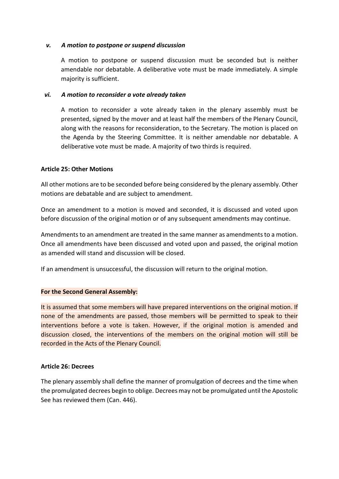#### *v. A motion to postpone or suspend discussion*

A motion to postpone or suspend discussion must be seconded but is neither amendable nor debatable. A deliberative vote must be made immediately. A simple majority is sufficient.

#### *vi. A motion to reconsider a vote already taken*

A motion to reconsider a vote already taken in the plenary assembly must be presented, signed by the mover and at least half the members of the Plenary Council, along with the reasons for reconsideration, to the Secretary. The motion is placed on the Agenda by the Steering Committee. It is neither amendable nor debatable. A deliberative vote must be made. A majority of two thirds is required.

#### **Article 25: Other Motions**

All other motions are to be seconded before being considered by the plenary assembly. Other motions are debatable and are subject to amendment.

Once an amendment to a motion is moved and seconded, it is discussed and voted upon before discussion of the original motion or of any subsequent amendments may continue.

Amendments to an amendment are treated in the same manner as amendments to a motion. Once all amendments have been discussed and voted upon and passed, the original motion as amended will stand and discussion will be closed.

If an amendment is unsuccessful, the discussion will return to the original motion.

#### **For the Second General Assembly:**

It is assumed that some members will have prepared interventions on the original motion. If none of the amendments are passed, those members will be permitted to speak to their interventions before a vote is taken. However, if the original motion is amended and discussion closed, the interventions of the members on the original motion will still be recorded in the Acts of the Plenary Council.

#### **Article 26: Decrees**

The plenary assembly shall define the manner of promulgation of decrees and the time when the promulgated decrees begin to oblige. Decrees may not be promulgated until the Apostolic See has reviewed them (Can. 446).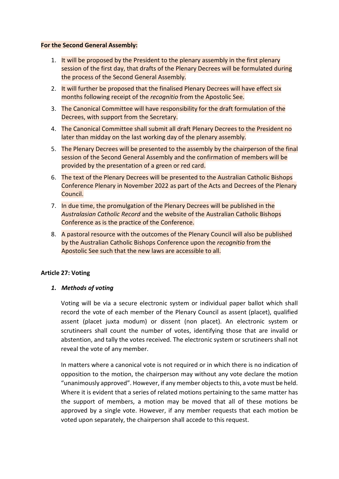#### **For the Second General Assembly:**

- 1. It will be proposed by the President to the plenary assembly in the first plenary session of the first day, that drafts of the Plenary Decrees will be formulated during the process of the Second General Assembly.
- 2. It will further be proposed that the finalised Plenary Decrees will have effect six months following receipt of the *recognitio* from the Apostolic See.
- 3. The Canonical Committee will have responsibility for the draft formulation of the Decrees, with support from the Secretary.
- 4. The Canonical Committee shall submit all draft Plenary Decrees to the President no later than midday on the last working day of the plenary assembly.
- 5. The Plenary Decrees will be presented to the assembly by the chairperson of the final session of the Second General Assembly and the confirmation of members will be provided by the presentation of a green or red card.
- 6. The text of the Plenary Decrees will be presented to the Australian Catholic Bishops Conference Plenary in November 2022 as part of the Acts and Decrees of the Plenary Council.
- 7. In due time, the promulgation of the Plenary Decrees will be published in the *Australasian Catholic Record* and the website of the Australian Catholic Bishops Conference as is the practice of the Conference.
- 8. A pastoral resource with the outcomes of the Plenary Council will also be published by the Australian Catholic Bishops Conference upon the *recognitio* from the Apostolic See such that the new laws are accessible to all.

#### **Article 27: Voting**

#### *1. Methods of voting*

Voting will be via a secure electronic system or individual paper ballot which shall record the vote of each member of the Plenary Council as assent (placet), qualified assent (placet juxta modum) or dissent (non placet). An electronic system or scrutineers shall count the number of votes, identifying those that are invalid or abstention, and tally the votes received. The electronic system or scrutineers shall not reveal the vote of any member.

In matters where a canonical vote is not required or in which there is no indication of opposition to the motion, the chairperson may without any vote declare the motion "unanimously approved". However, if any member objects to this, a vote must be held. Where it is evident that a series of related motions pertaining to the same matter has the support of members, a motion may be moved that all of these motions be approved by a single vote. However, if any member requests that each motion be voted upon separately, the chairperson shall accede to this request.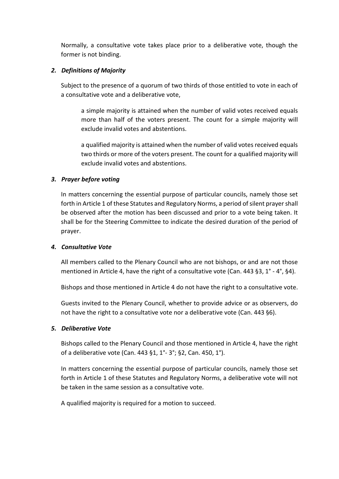Normally, a consultative vote takes place prior to a deliberative vote, though the former is not binding.

#### *2. Definitions of Majority*

Subject to the presence of a quorum of two thirds of those entitled to vote in each of a consultative vote and a deliberative vote,

a simple majority is attained when the number of valid votes received equals more than half of the voters present. The count for a simple majority will exclude invalid votes and abstentions.

a qualified majority is attained when the number of valid votes received equals two thirds or more of the voters present. The count for a qualified majority will exclude invalid votes and abstentions.

#### *3. Prayer before voting*

In matters concerning the essential purpose of particular councils, namely those set forth in Article 1 of these Statutes and Regulatory Norms, a period of silent prayer shall be observed after the motion has been discussed and prior to a vote being taken. It shall be for the Steering Committee to indicate the desired duration of the period of prayer.

#### *4. Consultative Vote*

All members called to the Plenary Council who are not bishops, or and are not those mentioned in Article 4, have the right of a consultative vote (Can. 443 §3,  $1^{\circ}$  - 4°, §4).

Bishops and those mentioned in Article 4 do not have the right to a consultative vote.

Guests invited to the Plenary Council, whether to provide advice or as observers, do not have the right to a consultative vote nor a deliberative vote (Can. 443 §6).

#### *5. Deliberative Vote*

Bishops called to the Plenary Council and those mentioned in Article 4, have the right of a deliberative vote (Can. 443 §1, 1°- 3°; §2, Can. 450, 1°).

In matters concerning the essential purpose of particular councils, namely those set forth in Article 1 of these Statutes and Regulatory Norms, a deliberative vote will not be taken in the same session as a consultative vote.

A qualified majority is required for a motion to succeed.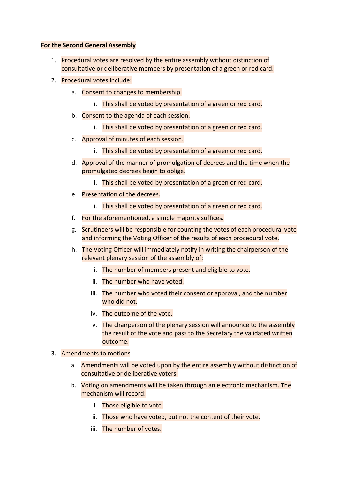- 1. Procedural votes are resolved by the entire assembly without distinction of consultative or deliberative members by presentation of a green or red card.
- 2. Procedural votes include:
	- a. Consent to changes to membership.
		- i. This shall be voted by presentation of a green or red card.
	- b. Consent to the agenda of each session.
		- i. This shall be voted by presentation of a green or red card.
	- c. Approval of minutes of each session.
		- i. This shall be voted by presentation of a green or red card.
	- d. Approval of the manner of promulgation of decrees and the time when the promulgated decrees begin to oblige.
		- i. This shall be voted by presentation of a green or red card.
	- e. Presentation of the decrees.
		- i. This shall be voted by presentation of a green or red card.
	- f. For the aforementioned, a simple majority suffices.
	- g. Scrutineers will be responsible for counting the votes of each procedural vote and informing the Voting Officer of the results of each procedural vote.
	- h. The Voting Officer will immediately notify in writing the chairperson of the relevant plenary session of the assembly of:
		- i. The number of members present and eligible to vote.
		- ii. The number who have voted.
		- iii. The number who voted their consent or approval, and the number who did not.
		- iv. The outcome of the vote.
		- v. The chairperson of the plenary session will announce to the assembly the result of the vote and pass to the Secretary the validated written outcome.
- 3. Amendments to motions
	- a. Amendments will be voted upon by the entire assembly without distinction of consultative or deliberative voters.
	- b. Voting on amendments will be taken through an electronic mechanism. The mechanism will record:
		- i. Those eligible to vote.
		- ii. Those who have voted, but not the content of their vote.
		- iii. The number of votes.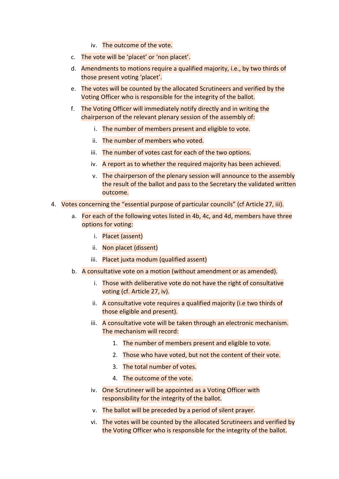- iv. The outcome of the vote.
- c. The vote will be 'placet' or 'non placet'.
- d. Amendments to motions require a qualified majority, i.e., by two thirds of those present voting 'placet'.
- e. The votes will be counted by the allocated Scrutineers and verified by the Voting Officer who is responsible for the integrity of the ballot.
- f. The Voting Officer will immediately notify directly and in writing the chairperson of the relevant plenary session of the assembly of:
	- i. The number of members present and eligible to vote.
	- ii. The number of members who voted.
	- iii. The number of votes cast for each of the two options.
	- iv. A report as to whether the required majority has been achieved.
	- v. The chairperson of the plenary session will announce to the assembly the result of the ballot and pass to the Secretary the validated written outcome.
- 4. Votes concerning the "essential purpose of particular councils" (cf Article 27, iii).
	- a. For each of the following votes listed in 4b, 4c, and 4d, members have three options for voting:
		- i. Placet (assent)
		- ii. Non placet (dissent)
		- iii. Placet juxta modum (qualified assent)
	- b. A consultative vote on a motion (without amendment or as amended).
		- i. Those with deliberative vote do not have the right of consultative voting (cf. Article 27, iv).
		- ii. A consultative vote requires a qualified majority (i.e two thirds of those eligible and present).
		- iii. A consultative vote will be taken through an electronic mechanism. The mechanism will record:
			- 1. The number of members present and eligible to vote.
			- 2. Those who have voted, but not the content of their vote.
			- 3. The total number of votes.
			- 4. The outcome of the vote.
		- iv. One Scrutineer will be appointed as a Voting Officer with responsibility for the integrity of the ballot.
		- v. The ballot will be preceded by a period of silent prayer.
		- vi. The votes will be counted by the allocated Scrutineers and verified by the Voting Officer who is responsible for the integrity of the ballot.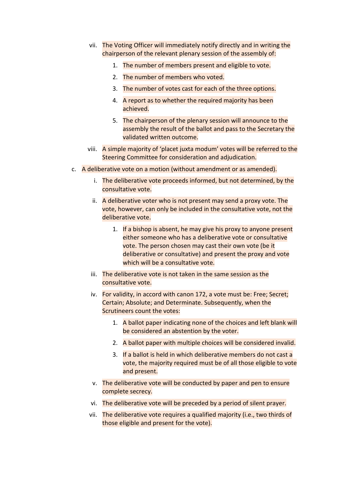- vii. The Voting Officer will immediately notify directly and in writing the chairperson of the relevant plenary session of the assembly of:
	- 1. The number of members present and eligible to vote.
	- 2. The number of members who voted.
	- 3. The number of votes cast for each of the three options.
	- 4. A report as to whether the required majority has been achieved.
	- 5. The chairperson of the plenary session will announce to the assembly the result of the ballot and pass to the Secretary the validated written outcome.
- viii. A simple majority of 'placet juxta modum' votes will be referred to the Steering Committee for consideration and adjudication.
- c. A deliberative vote on a motion (without amendment or as amended).
	- i. The deliberative vote proceeds informed, but not determined, by the consultative vote.
	- ii. A deliberative voter who is not present may send a proxy vote. The vote, however, can only be included in the consultative vote, not the deliberative vote.
		- 1. If a bishop is absent, he may give his proxy to anyone present either someone who has a deliberative vote or consultative vote. The person chosen may cast their own vote (be it deliberative or consultative) and present the proxy and vote which will be a consultative vote.
	- iii. The deliberative vote is not taken in the same session as the consultative vote.
	- iv. For validity, in accord with canon 172, a vote must be: Free; Secret; Certain; Absolute; and Determinate. Subsequently, when the Scrutineers count the votes:
		- 1. A ballot paper indicating none of the choices and left blank will be considered an abstention by the voter.
		- 2. A ballot paper with multiple choices will be considered invalid.
		- 3. If a ballot is held in which deliberative members do not cast a vote, the majority required must be of all those eligible to vote and present.
	- v. The deliberative vote will be conducted by paper and pen to ensure complete secrecy.
	- vi. The deliberative vote will be preceded by a period of silent prayer.
	- vii. The deliberative vote requires a qualified majority (i.e., two thirds of those eligible and present for the vote).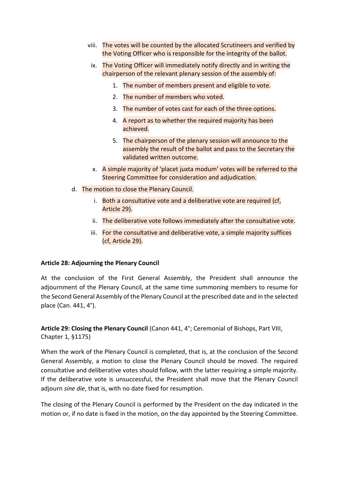- viii. The votes will be counted by the allocated Scrutineers and verified by the Voting Officer who is responsible for the integrity of the ballot.
- ix. The Voting Officer will immediately notify directly and in writing the chairperson of the relevant plenary session of the assembly of:
	- 1. The number of members present and eligible to vote.
	- 2. The number of members who voted.
	- 3. The number of votes cast for each of the three options.
	- 4. A report as to whether the required majority has been achieved.
	- 5. The chairperson of the plenary session will announce to the assembly the result of the ballot and pass to the Secretary the validated written outcome.
- x. A simple majority of 'placet juxta modum' votes will be referred to the Steering Committee for consideration and adjudication.
- d. The motion to close the Plenary Council.
	- i. Both a consultative vote and a deliberative vote are required (cf, Article 29).
	- ii. The deliberative vote follows immediately after the consultative vote.
	- iii. For the consultative and deliberative vote, a simple majority suffices (cf, Article 29).

#### **Article 28: Adjourning the Plenary Council**

At the conclusion of the First General Assembly, the President shall announce the adjournment of the Plenary Council, at the same time summoning members to resume for the Second General Assembly of the Plenary Council at the prescribed date and in the selected place (Can. 441, 4°).

**Article 29: Closing the Plenary Council** (Canon 441, 4°; Ceremonial of Bishops, Part VIII, Chapter 1, §1175)

When the work of the Plenary Council is completed, that is, at the conclusion of the Second General Assembly, a motion to close the Plenary Council should be moved. The required consultative and deliberative votes should follow, with the latter requiring a simple majority. If the deliberative vote is unsuccessful, the President shall move that the Plenary Council adjourn *sine die*, that is, with no date fixed for resumption.

The closing of the Plenary Council is performed by the President on the day indicated in the motion or, if no date is fixed in the motion, on the day appointed by the Steering Committee.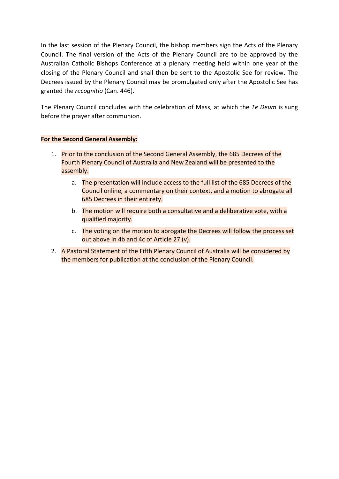In the last session of the Plenary Council, the bishop members sign the Acts of the Plenary Council. The final version of the Acts of the Plenary Council are to be approved by the Australian Catholic Bishops Conference at a plenary meeting held within one year of the closing of the Plenary Council and shall then be sent to the Apostolic See for review. The Decrees issued by the Plenary Council may be promulgated only after the Apostolic See has granted the *recognitio* (Can. 446).

The Plenary Council concludes with the celebration of Mass, at which the *Te Deum* is sung before the prayer after communion.

- 1. Prior to the conclusion of the Second General Assembly, the 685 Decrees of the Fourth Plenary Council of Australia and New Zealand will be presented to the assembly.
	- a. The presentation will include access to the full list of the 685 Decrees of the Council online, a commentary on their context, and a motion to abrogate all 685 Decrees in their entirety.
	- b. The motion will require both a consultative and a deliberative vote, with a qualified majority.
	- c. The voting on the motion to abrogate the Decrees will follow the process set out above in 4b and 4c of Article 27 (v).
- 2. A Pastoral Statement of the Fifth Plenary Council of Australia will be considered by the members for publication at the conclusion of the Plenary Council.